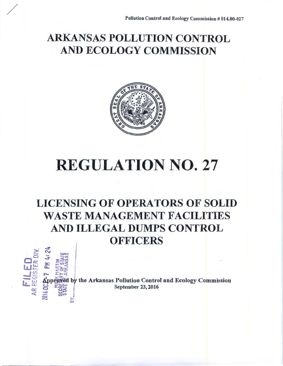## ARKANSAS POLLUTION CONTROL AND ECOLOGY COMMISSION



## REGULATION NO. 27

### LICENSING OF OPERATORS OF SOLID WASTE MANAGEMENT FACILITIES AND ILLEGAL DUMPS CONTROL **OFFICERS**



/

 $f^{\text{CP}}_{\text{C}}$   $f^{\text{CP}}_{\text{C}}$   $f^{\text{CP}}_{\text{C}}$   $f^{\text{CP}}_{\text{C}}$   $f^{\text{CP}}_{\text{C}}$  . September 23, 2016<br>  $f^{\text{CP}}_{\text{C}}$   $f^{\text{CP}}_{\text{C}}$  .  $f^{\text{CP}}_{\text{C}}$  . September 23, 2016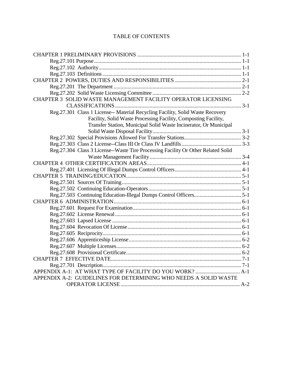#### TABLE OF CONTENTS

| CHAPTER 3 SOLID WASTE MANAGEMENT FACILITY OPERATOR LICENSING                      |  |
|-----------------------------------------------------------------------------------|--|
|                                                                                   |  |
| Reg. 27.301 Class 1 License-- Material Recycling Facility, Solid Waste Recovery   |  |
| Facility, Solid Waste Processing Facility, Composting Facility,                   |  |
| Transfer Station, Municipal Solid Waste Incinerator, Or Municipal                 |  |
|                                                                                   |  |
|                                                                                   |  |
|                                                                                   |  |
| Reg.27.304 Class 3 License--Waste Tire Processing Facility Or Other Related Solid |  |
|                                                                                   |  |
|                                                                                   |  |
|                                                                                   |  |
|                                                                                   |  |
|                                                                                   |  |
|                                                                                   |  |
|                                                                                   |  |
|                                                                                   |  |
|                                                                                   |  |
|                                                                                   |  |
|                                                                                   |  |
|                                                                                   |  |
|                                                                                   |  |
|                                                                                   |  |
|                                                                                   |  |
|                                                                                   |  |
|                                                                                   |  |
|                                                                                   |  |
|                                                                                   |  |
| APPENDIX A-2: GUIDELINES FOR DETERMINING WHO NEEDS A SOLID WASTE                  |  |
|                                                                                   |  |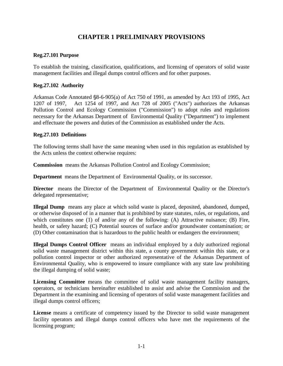#### **CHAPTER 1 PRELIMINARY PROVISIONS**

#### <span id="page-2-1"></span><span id="page-2-0"></span>**Reg.27.101 Purpose**

To establish the training, classification, qualifications, and licensing of operators of solid waste management facilities and illegal dumps control officers and for other purposes.

#### <span id="page-2-2"></span>**Reg.27.102 Authority**

Arkansas Code Annotated §8-6-905(a) of Act 750 of 1991, as amended by Act 193 of 1995, Act 1207 of 1997, Act 1254 of 1997, and Act 728 of 2005 ("Acts") authorizes the Arkansas Pollution Control and Ecology Commission ("Commission") to adopt rules and regulations necessary for the Arkansas Department of Environmental Quality ("Department") to implement and effectuate the powers and duties of the Commission as established under the Acts.

#### <span id="page-2-3"></span>**Reg.27.103 Definitions**

The following terms shall have the same meaning when used in this regulation as established by the Acts unless the context otherwise requires:

**Commission** means the Arkansas Pollution Control and Ecology Commission;

**Department** means the Department of Environmental Quality, or its successor.

**Director** means the Director of the Department of Environmental Quality or the Director's delegated representative;

**Illegal Dump** means any place at which solid waste is placed, deposited, abandoned, dumped, or otherwise disposed of in a manner that is prohibited by state statutes, rules, or regulations, and which constitutes one (1) of and/or any of the following: (A) Attractive nuisance; (B) Fire, health, or safety hazard; (C) Potential sources of surface and/or groundwater contamination; or (D) Other contamination that is hazardous to the public health or endangers the environment;

**Illegal Dumps Control Officer** means an individual employed by a duly authorized regional solid waste management district within this state, a county government within this state, or a pollution control inspector or other authorized representative of the Arkansas Department of Environmental Quality, who is empowered to insure compliance with any state law prohibiting the illegal dumping of solid waste;

**Licensing Committee** means the committee of solid waste management facility managers, operators, or technicians hereinafter established to assist and advise the Commission and the Department in the examining and licensing of operators of solid waste management facilities and illegal dumps control officers;

**License** means a certificate of competency issued by the Director to solid waste management facility operators and illegal dumps control officers who have met the requirements of the licensing program;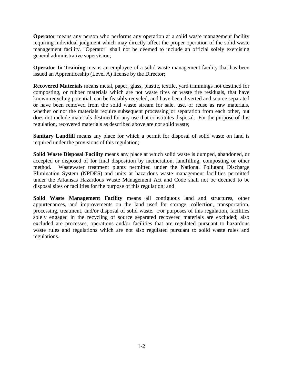**Operator** means any person who performs any operation at a solid waste management facility requiring individual judgment which may directly affect the proper operation of the solid waste management facility. "Operator" shall not be deemed to include an official solely exercising general administrative supervision;

**Operator In Training** means an employee of a solid waste management facility that has been issued an Apprenticeship (Level A) license by the Director;

**Recovered Materials** means metal, paper, glass, plastic, textile, yard trimmings not destined for composting, or rubber materials which are not waste tires or waste tire residuals, that have known recycling potential, can be feasibly recycled, and have been diverted and source separated or have been removed from the solid waste stream for sale, use, or reuse as raw materials, whether or not the materials require subsequent processing or separation from each other, but does not include materials destined for any use that constitutes disposal. For the purpose of this regulation, recovered materials as described above are not solid waste;

**Sanitary Landfill** means any place for which a permit for disposal of solid waste on land is required under the provisions of this regulation;

**Solid Waste Disposal Facility** means any place at which solid waste is dumped, abandoned, or accepted or disposed of for final disposition by incineration, landfilling, composting or other method. Wastewater treatment plants permitted under the National Pollutant Discharge Elimination System (NPDES) and units at hazardous waste management facilities permitted under the Arkansas Hazardous Waste Management Act and Code shall not be deemed to be disposal sites or facilities for the purpose of this regulation; and

**Solid Waste Management Facility** means all contiguous land and structures, other appurtenances, and improvements on the land used for storage, collection, transportation, processing, treatment, and/or disposal of solid waste. For purposes of this regulation, facilities solely engaged in the recycling of source separated recovered materials are excluded; also excluded are processes, operations and/or facilities that are regulated pursuant to hazardous waste rules and regulations which are not also regulated pursuant to solid waste rules and regulations.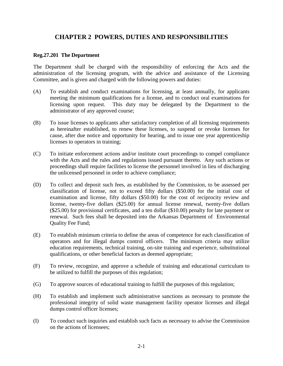#### **CHAPTER 2 POWERS, DUTIES AND RESPONSIBILITIES**

#### <span id="page-4-1"></span><span id="page-4-0"></span>**Reg.27.201 The Department**

The Department shall be charged with the responsibility of enforcing the Acts and the administration of the licensing program, with the advice and assistance of the Licensing Committee, and is given and charged with the following powers and duties:

- (A) To establish and conduct examinations for licensing, at least annually, for applicants meeting the minimum qualifications for a license, and to conduct oral examinations for licensing upon request. This duty may be delegated by the Department to the administrator of any approved course;
- (B) To issue licenses to applicants after satisfactory completion of all licensing requirements as hereinafter established, to renew these licenses, to suspend or revoke licenses for cause, after due notice and opportunity for hearing, and to issue one year apprenticeship licenses to operators in training;
- (C) To initiate enforcement actions and/or institute court proceedings to compel compliance with the Acts and the rules and regulations issued pursuant thereto. Any such actions or proceedings shall require facilities to license the personnel involved in lieu of discharging the unlicensed personnel in order to achieve compliance;
- (D) To collect and deposit such fees, as established by the Commission, to be assessed per classification of license, not to exceed fifty dollars (\$50.00) for the initial cost of examination and license, fifty dollars (\$50.00) for the cost of reciprocity review and license, twenty-five dollars (\$25.00) for annual license renewal, twenty-five dollars (\$25.00) for provisional certificates, and a ten dollar (\$10.00) penalty for late payment or renewal. Such fees shall be deposited into the Arkansas Department of Environmental Quality Fee Fund;
- (E) To establish minimum criteria to define the areas of competence for each classification of operators and for illegal dumps control officers. The minimum criteria may utilize education requirements, technical training, on-site training and experience, substitutional qualifications, or other beneficial factors as deemed appropriate;
- (F) To review, recognize, and approve a schedule of training and educational curriculum to be utilized to fulfill the purposes of this regulation;
- (G) To approve sources of educational training to fulfill the purposes of this regulation;
- (H) To establish and implement such administrative sanctions as necessary to promote the professional integrity of solid waste management facility operator licenses and illegal dumps control officer licenses;
- (I) To conduct such inquiries and establish such facts as necessary to advise the Commission on the actions of licensees;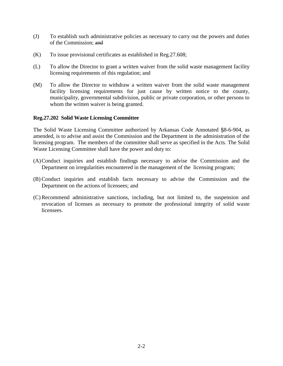- (J) To establish such administrative policies as necessary to carry out the powers and duties of the Commission; and
- (K) To issue provisional certificates as established in Reg.27.608;
- (L) To allow the Director to grant a written waiver from the solid waste management facility licensing requirements of this regulation; and
- (M) To allow the Director to withdraw a written waiver from the solid waste management facility licensing requirements for just cause by written notice to the county, municipality, governmental subdivision, public or private corporation, or other persons to whom the written waiver is being granted.

#### <span id="page-5-0"></span>**Reg.27.202 Solid Waste Licensing Committee**

The Solid Waste Licensing Committee authorized by Arkansas Code Annotated §8-6-904, as amended, is to advise and assist the Commission and the Department in the administration of the licensing program. The members of the committee shall serve as specified in the Acts. The Solid Waste Licensing Committee shall have the power and duty to:

- (A)Conduct inquiries and establish findings necessary to advise the Commission and the Department on irregularities encountered in the management of the licensing program;
- (B) Conduct inquiries and establish facts necessary to advise the Commission and the Department on the actions of licensees; and
- (C) Recommend administrative sanctions, including, but not limited to, the suspension and revocation of licenses as necessary to promote the professional integrity of solid waste **licensees**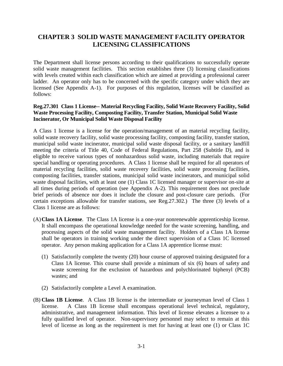#### <span id="page-6-0"></span>**CHAPTER 3 SOLID WASTE MANAGEMENT FACILITY OPERATOR LICENSING CLASSIFICATIONS**

The Department shall license persons according to their qualifications to successfully operate solid waste management facilities. This section establishes three (3) licensing classifications with levels created within each classification which are aimed at providing a professional career ladder. An operator only has to be concerned with the specific category under which they are licensed (See Appendix A-1). For purposes of this regulation, licenses will be classified as follows:

#### <span id="page-6-1"></span>**Reg.27.301 Class 1 License-- Material Recycling Facility, Solid Waste Recovery Facility, Solid Waste Processing Facility, Composting Facility, Transfer Station, Municipal Solid Waste Incinerator, Or Municipal Solid Waste Disposal Facility**

A Class 1 license is a license for the operation/management of an material recycling facility, solid waste recovery facility, solid waste processing facility, composting facility, transfer station, municipal solid waste incinerator, municipal solid waste disposal facility, or a sanitary landfill meeting the criteria of Title 40, Code of Federal Regulations, Part 258 (Subtitle D), and is eligible to receive various types of nonhazardous solid waste, including materials that require special handling or operating procedures. A Class 1 license shall be required for all operators of material recycling facilities, solid waste recovery facilities, solid waste processing facilities, composting facilities, transfer stations, municipal solid waste incinerators, and municipal solid waste disposal facilities, with at least one (1) Class 1C licensed manager or supervisor on-site at all times during periods of operation (see Appendix A-2). This requirement does not preclude brief periods of absence nor does it include the closure and post-closure care periods. (For certain exceptions allowable for transfer stations, see Reg.27.302.) The three (3) levels of a Class 1 license are as follows:

- (A)**Class 1A License**. The Class 1A license is a one-year nonrenewable apprenticeship license. It shall encompass the operational knowledge needed for the waste screening, handling, and processing aspects of the solid waste management facility. Holders of a Class 1A license shall be operators in training working under the direct supervision of a Class 1C licensed operator. Any person making application for a Class 1A apprentice license must:
	- (1) Satisfactorily complete the twenty (20) hour course of approved training designated for a Class 1A license. This course shall provide a minimum of six (6) hours of safety and waste screening for the exclusion of hazardous and polychlorinated biphenyl (PCB) wastes; and
	- (2) Satisfactorily complete a Level A examination.
- (B) **Class 1B License**. A Class 1B license is the intermediate or journeyman level of Class 1 license. A Class 1B license shall encompass operational level technical, regulatory, administrative, and management information. This level of license elevates a licensee to a fully qualified level of operator. Non-supervisory personnel may select to remain at this level of license as long as the requirement is met for having at least one (1) or Class 1C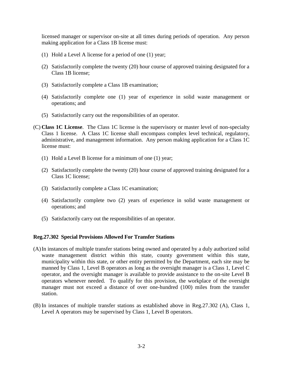licensed manager or supervisor on-site at all times during periods of operation. Any person making application for a Class 1B license must:

- (1) Hold a Level A license for a period of one (1) year;
- (2) Satisfactorily complete the twenty (20) hour course of approved training designated for a Class 1B license;
- (3) Satisfactorily complete a Class 1B examination;
- (4) Satisfactorily complete one (1) year of experience in solid waste management or operations; and
- (5) Satisfactorily carry out the responsibilities of an operator.
- (C) **Class 1C License**. The Class 1C license is the supervisory or master level of non-specialty Class 1 license. A Class 1C license shall encompass complex level technical, regulatory, administrative, and management information. Any person making application for a Class 1C license must:
	- (1) Hold a Level B license for a minimum of one (1) year;
	- (2) Satisfactorily complete the twenty (20) hour course of approved training designated for a Class 1C license;
	- (3) Satisfactorily complete a Class 1C examination;
	- (4) Satisfactorily complete two (2) years of experience in solid waste management or operations; and
	- (5) Satisfactorily carry out the responsibilities of an operator.

#### <span id="page-7-0"></span>**Reg.27.302 Special Provisions Allowed For Transfer Stations**

- (A)In instances of multiple transfer stations being owned and operated by a duly authorized solid waste management district within this state, county government within this state, municipality within this state, or other entity permitted by the Department, each site may be manned by Class 1, Level B operators as long as the oversight manager is a Class 1, Level C operator, and the oversight manager is available to provide assistance to the on-site Level B operators whenever needed. To qualify for this provision, the workplace of the oversight manager must not exceed a distance of over one-hundred (100) miles from the transfer station.
- (B) In instances of multiple transfer stations as established above in Reg.27.302 (A), Class 1, Level A operators may be supervised by Class 1, Level B operators.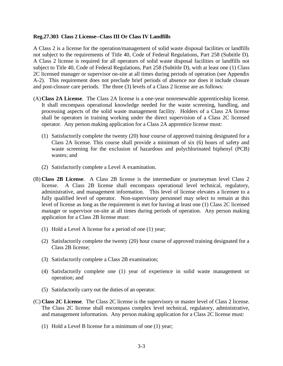#### <span id="page-8-0"></span>**Reg.27.303 Class 2 License--Class III Or Class IV Landfills**

A Class 2 is a license for the operation/management of solid waste disposal facilities or landfills not subject to the requirements of Title 40, Code of Federal Regulations, Part 258 (Subtitle D). A Class 2 license is required for all operators of solid waste disposal facilities or landfills not subject to Title 40, Code of Federal Regulations, Part 258 (Subtitle D), with at least one (1) Class 2C licensed manager or supervisor on-site at all times during periods of operation (see Appendix A-2). This requirement does not preclude brief periods of absence nor does it include closure and post-closure care periods. The three (3) levels of a Class 2 license are as follows:

- (A)**Class 2A License**. The Class 2A license is a one-year nonrenewable apprenticeship license. It shall encompass operational knowledge needed for the waste screening, handling, and processing aspects of the solid waste management facility. Holders of a Class 2A license shall be operators in training working under the direct supervision of a Class 2C licensed operator. Any person making application for a Class 2A apprentice license must:
	- (1) Satisfactorily complete the twenty (20) hour course of approved training designated for a Class 2A license. This course shall provide a minimum of six (6) hours of safety and waste screening for the exclusion of hazardous and polychlorinated biphenyl (PCB) wastes; and
	- (2) Satisfactorily complete a Level A examination.
- (B) **Class 2B License**. A Class 2B license is the intermediate or journeyman level Class 2 license. A Class 2B license shall encompass operational level technical, regulatory, administrative, and management information. This level of license elevates a licensee to a fully qualified level of operator. Non-supervisory personnel may select to remain at this level of license as long as the requirement is met for having at least one (1) Class 2C licensed manager or supervisor on-site at all times during periods of operation. Any person making application for a Class 2B license must:
	- (1) Hold a Level A license for a period of one (1) year;
	- (2) Satisfactorily complete the twenty (20) hour course of approved training designated for a Class 2B license;
	- (3) Satisfactorily complete a Class 2B examination;
	- (4) Satisfactorily complete one (1) year of experience in solid waste management or operation; and
	- (5) Satisfactorily carry out the duties of an operator.
- (C) **Class 2C License**. The Class 2C license is the supervisory or master level of Class 2 license. The Class 2C license shall encompass complex level technical, regulatory, administrative, and management information. Any person making application for a Class 2C license must:
	- (1) Hold a Level B license for a minimum of one (1) year;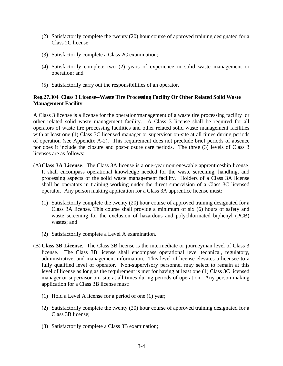- (2) Satisfactorily complete the twenty (20) hour course of approved training designated for a Class 2C license;
- (3) Satisfactorily complete a Class 2C examination;
- (4) Satisfactorily complete two (2) years of experience in solid waste management or operation; and
- (5) Satisfactorily carry out the responsibilities of an operator.

#### <span id="page-9-0"></span>**Reg.27.304 Class 3 License--Waste Tire Processing Facility Or Other Related Solid Waste Management Facility**

A Class 3 license is a license for the operation/management of a waste tire processing facility or other related solid waste management facility. A Class 3 license shall be required for all operators of waste tire processing facilities and other related solid waste management facilities with at least one (1) Class 3C licensed manager or supervisor on-site at all times during periods of operation (see Appendix A-2). This requirement does not preclude brief periods of absence nor does it include the closure and post-closure care periods. The three (3) levels of Class 3 licenses are as follows:

- (A)**Class 3A License**. The Class 3A license is a one-year nonrenewable apprenticeship license. It shall encompass operational knowledge needed for the waste screening, handling, and processing aspects of the solid waste management facility. Holders of a Class 3A license shall be operators in training working under the direct supervision of a Class 3C licensed operator. Any person making application for a Class 3A apprentice license must:
	- (1) Satisfactorily complete the twenty (20) hour course of approved training designated for a Class 3A license. This course shall provide a minimum of six (6) hours of safety and waste screening for the exclusion of hazardous and polychlorinated biphenyl (PCB) wastes; and
	- (2) Satisfactorily complete a Level A examination.
- (B) **Class 3B License**. The Class 3B license is the intermediate or journeyman level of Class 3 license. The Class 3B license shall encompass operational level technical, regulatory, administrative, and management information. This level of license elevates a licensee to a fully qualified level of operator. Non-supervisory personnel may select to remain at this level of license as long as the requirement is met for having at least one (1) Class 3C licensed manager or supervisor on- site at all times during periods of operation. Any person making application for a Class 3B license must:
	- (1) Hold a Level A license for a period of one (1) year;
	- (2) Satisfactorily complete the twenty (20) hour course of approved training designated for a Class 3B license;
	- (3) Satisfactorily complete a Class 3B examination;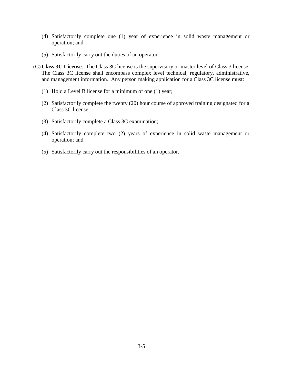- (4) Satisfactorily complete one (1) year of experience in solid waste management or operation; and
- (5) Satisfactorily carry out the duties of an operator.
- (C) **Class 3C License**. The Class 3C license is the supervisory or master level of Class 3 license. The Class 3C license shall encompass complex level technical, regulatory, administrative, and management information. Any person making application for a Class 3C license must:
	- (1) Hold a Level B license for a minimum of one (1) year;
	- (2) Satisfactorily complete the twenty (20) hour course of approved training designated for a Class 3C license;
	- (3) Satisfactorily complete a Class 3C examination;
	- (4) Satisfactorily complete two (2) years of experience in solid waste management or operation; and
	- (5) Satisfactorily carry out the responsibilities of an operator.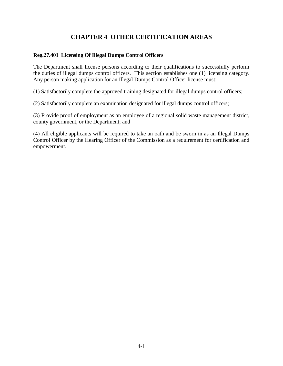#### **CHAPTER 4 OTHER CERTIFICATION AREAS**

#### <span id="page-11-1"></span><span id="page-11-0"></span>**Reg.27.401 Licensing Of Illegal Dumps Control Officers**

The Department shall license persons according to their qualifications to successfully perform the duties of illegal dumps control officers. This section establishes one (1) licensing category. Any person making application for an Illegal Dumps Control Officer license must:

(1) Satisfactorily complete the approved training designated for illegal dumps control officers;

(2) Satisfactorily complete an examination designated for illegal dumps control officers;

(3) Provide proof of employment as an employee of a regional solid waste management district, county government, or the Department; and

(4) All eligible applicants will be required to take an oath and be sworn in as an Illegal Dumps Control Officer by the Hearing Officer of the Commission as a requirement for certification and empowerment.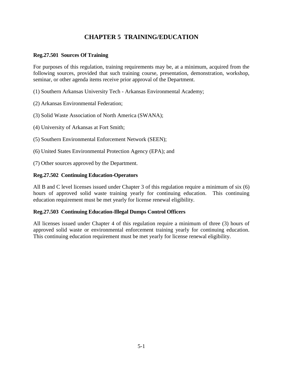#### **CHAPTER 5 TRAINING/EDUCATION**

#### <span id="page-12-1"></span><span id="page-12-0"></span>**Reg.27.501 Sources Of Training**

For purposes of this regulation, training requirements may be, at a minimum, acquired from the following sources, provided that such training course, presentation, demonstration, workshop, seminar, or other agenda items receive prior approval of the Department.

(1) Southern Arkansas University Tech - Arkansas Environmental Academy;

(2) Arkansas Environmental Federation;

(3) Solid Waste Association of North America (SWANA);

(4) University of Arkansas at Fort Smith;

(5) Southern Environmental Enforcement Network (SEEN);

(6) United States Environmental Protection Agency (EPA); and

(7) Other sources approved by the Department.

#### <span id="page-12-2"></span>**Reg.27.502 Continuing Education-Operators**

All B and C level licenses issued under Chapter 3 of this regulation require a minimum of six (6) hours of approved solid waste training yearly for continuing education. This continuing education requirement must be met yearly for license renewal eligibility.

#### <span id="page-12-3"></span>**Reg.27.503 Continuing Education-Illegal Dumps Control Officers**

All licenses issued under Chapter 4 of this regulation require a minimum of three (3) hours of approved solid waste or environmental enforcement training yearly for continuing education. This continuing education requirement must be met yearly for license renewal eligibility.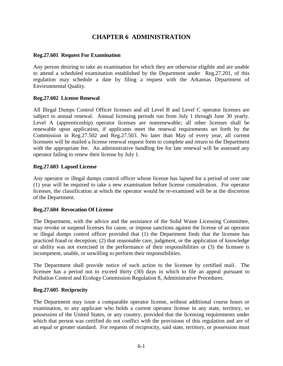#### **CHAPTER 6 ADMINISTRATION**

#### <span id="page-13-1"></span><span id="page-13-0"></span>**Reg.27.601 Request For Examination**

Any person desiring to take an examination for which they are otherwise eligible and are unable to attend a scheduled examination established by the Department under Reg.27.201, of this regulation may schedule a date by filing a request with the Arkansas Department of Environmental Quality.

#### <span id="page-13-2"></span>**Reg.27.602 License Renewal**

All Illegal Dumps Control Officer licenses and all Level B and Level C operator licenses are subject to annual renewal. Annual licensing periods run from July 1 through June 30 yearly. Level A (apprenticeship) operator licenses are nonrenewable; all other licenses shall be renewable upon application, if applicants meet the renewal requirements set forth by the Commission in Reg.27.502 and Reg.27.503. No later than May of every year, all current licensees will be mailed a license renewal request form to complete and return to the Department with the appropriate fee. An administrative handling fee for late renewal will be assessed any operator failing to renew their license by July 1.

#### <span id="page-13-3"></span>**Reg.27.603 Lapsed License**

Any operator or illegal dumps control officer whose license has lapsed for a period of over one (1) year will be required to take a new examination before license consideration. For operator licenses, the classification at which the operator would be re-examined will be at the discretion of the Department.

#### <span id="page-13-4"></span>**Reg.27.604 Revocation Of License**

The Department, with the advice and the assistance of the Solid Waste Licensing Committee, may revoke or suspend licenses for cause, or impose sanctions against the license of an operator or illegal dumps control officer provided that (1) the Department finds that the licensee has practiced fraud or deception; (2) that reasonable care, judgment, or the application of knowledge or ability was not exercised in the performance of their responsibilities or (3) the licensee is incompetent, unable, or unwilling to perform their responsibilities.

The Department shall provide notice of such action to the licensee by certified mail. The licensee has a period not to exceed thirty (30) days in which to file an appeal pursuant to Pollution Control and Ecology Commission Regulation 8, Administrative Procedures.

#### <span id="page-13-5"></span>**Reg.27.605 Reciprocity**

The Department may issue a comparable operator license, without additional course hours or examination, to any applicant who holds a current operator license in any state, territory, or possession of the United States, or any country, provided that the licensing requirements under which that person was certified do not conflict with the provisions of this regulation and are of an equal or greater standard. For requests of reciprocity, said state, territory, or possession must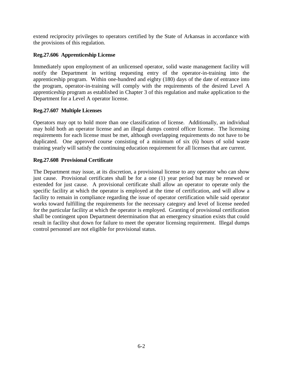extend reciprocity privileges to operators certified by the State of Arkansas in accordance with the provisions of this regulation.

#### <span id="page-14-0"></span>**Reg.27.606 Apprenticeship License**

Immediately upon employment of an unlicensed operator, solid waste management facility will notify the Department in writing requesting entry of the operator-in-training into the apprenticeship program. Within one-hundred and eighty (180) days of the date of entrance into the program, operator-in-training will comply with the requirements of the desired Level A apprenticeship program as established in Chapter 3 of this regulation and make application to the Department for a Level A operator license.

#### <span id="page-14-1"></span>**Reg.27.607 Multiple Licenses**

Operators may opt to hold more than one classification of license. Additionally, an individual may hold both an operator license and an illegal dumps control officer license. The licensing requirements for each license must be met, although overlapping requirements do not have to be duplicated. One approved course consisting of a minimum of six (6) hours of solid waste training yearly will satisfy the continuing education requirement for all licenses that are current.

#### <span id="page-14-2"></span>**Reg.27.608 Provisional Certificate**

The Department may issue, at its discretion, a provisional license to any operator who can show just cause. Provisional certificates shall be for a one (1) year period but may be renewed or extended for just cause. A provisional certificate shall allow an operator to operate only the specific facility at which the operator is employed at the time of certification, and will allow a facility to remain in compliance regarding the issue of operator certification while said operator works toward fulfilling the requirements for the necessary category and level of license needed for the particular facility at which the operator is employed. Granting of provisional certification shall be contingent upon Department determination that an emergency situation exists that could result in facility shut down for failure to meet the operator licensing requirement. Illegal dumps control personnel are not eligible for provisional status.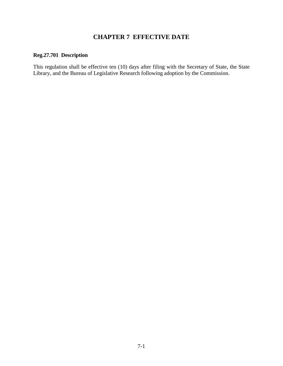#### **CHAPTER 7 EFFECTIVE DATE**

#### <span id="page-15-1"></span><span id="page-15-0"></span>**Reg.27.701 Description**

This regulation shall be effective ten (10) days after filing with the Secretary of State, the State Library, and the Bureau of Legislative Research following adoption by the Commission.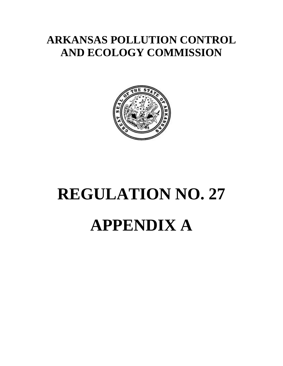## **ARKANSAS POLLUTION CONTROL AND ECOLOGY COMMISSION**



# **REGULATION NO. 27 APPENDIX A**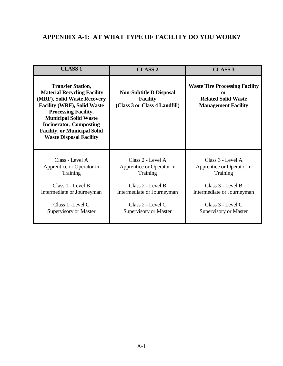#### <span id="page-17-0"></span>**APPENDIX A-1: AT WHAT TYPE OF FACILITY DO YOU WORK?**

| <b>CLASS 1</b>                                                                                                                                                                                                                                                                                                | <b>CLASS 2</b>                                                                     | <b>CLASS 3</b>                                                                                          |
|---------------------------------------------------------------------------------------------------------------------------------------------------------------------------------------------------------------------------------------------------------------------------------------------------------------|------------------------------------------------------------------------------------|---------------------------------------------------------------------------------------------------------|
| <b>Transfer Station,</b><br><b>Material Recycling Facility</b><br>(MRF), Solid Waste Recovery<br><b>Facility (WRF), Solid Waste</b><br><b>Processing Facility,</b><br><b>Municipal Solid Waste</b><br><b>Incinerator, Composting</b><br><b>Facility, or Municipal Solid</b><br><b>Waste Disposal Facility</b> | <b>Non-Subtitle D Disposal</b><br><b>Facility</b><br>(Class 3 or Class 4 Landfill) | <b>Waste Tire Processing Facility</b><br>or<br><b>Related Solid Waste</b><br><b>Management Facility</b> |
| Class - Level A                                                                                                                                                                                                                                                                                               | Class 2 - Level A                                                                  | Class 3 - Level A                                                                                       |
| Apprentice or Operator in                                                                                                                                                                                                                                                                                     | Apprentice or Operator in                                                          | Apprentice or Operator in                                                                               |
| <b>Training</b>                                                                                                                                                                                                                                                                                               | <b>Training</b>                                                                    | <b>Training</b>                                                                                         |
| Class 1 - Level B                                                                                                                                                                                                                                                                                             | Class 2 - Level B                                                                  | Class 3 - Level B                                                                                       |
| Intermediate or Journeyman                                                                                                                                                                                                                                                                                    | Intermediate or Journeyman                                                         | Intermediate or Journeyman                                                                              |
| Class 1 - Level C                                                                                                                                                                                                                                                                                             | Class 2 - Level C                                                                  | Class 3 - Level C                                                                                       |
| Supervisory or Master                                                                                                                                                                                                                                                                                         | <b>Supervisory or Master</b>                                                       | Supervisory or Master                                                                                   |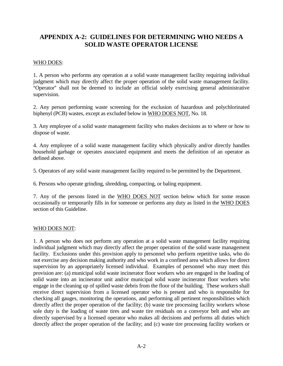#### <span id="page-18-0"></span>**APPENDIX A-2: GUIDELINES FOR DETERMINING WHO NEEDS A SOLID WASTE OPERATOR LICENSE**

#### WHO DOES:

1. A person who performs any operation at a solid waste management facility requiring individual judgment which may directly affect the proper operation of the solid waste management facility. "Operator" shall not be deemed to include an official solely exercising general administrative supervision.

2. Any person performing waste screening for the exclusion of hazardous and polychlorinated biphenyl (PCB) wastes, except as excluded below in WHO DOES NOT, No. 18.

3. Any employee of a solid waste management facility who makes decisions as to where or how to dispose of waste.

4. Any employee of a solid waste management facility which physically and/or directly handles household garbage or operates associated equipment and meets the definition of an operator as defined above.

5. Operators of any solid waste management facility required to be permitted by the Department.

6. Persons who operate grinding, shredding, compacting, or baling equipment.

7. Any of the persons listed in the WHO DOES NOT section below which for some reason occasionally or temporarily fills in for someone or performs any duty as listed in the WHO DOES section of this Guideline.

#### WHO DOES NOT:

1. A person who does not perform any operation at a solid waste management facility requiring individual judgment which may directly affect the proper operation of the solid waste management facility. Exclusions under this provision apply to personnel who perform repetitive tasks, who do not exercise any decision making authority and who work in a confined area which allows for direct supervision by an appropriately licensed individual. Examples of personnel who may meet this provision are: (a) municipal solid waste incinerator floor workers who are engaged in the loading of solid waste into an incinerator unit and/or municipal solid waste incinerator floor workers who engage in the cleaning up of spilled waste debris from the floor of the building. These workers shall receive direct supervision from a licensed operator who is present and who is responsible for checking all gauges, monitoring the operations, and performing all pertinent responsibilities which directly affect the proper operation of the facility; (b) waste tire processing facility workers whose sole duty is the loading of waste tires and waste tire residuals on a conveyor belt and who are directly supervised by a licensed operator who makes all decisions and performs all duties which directly affect the proper operation of the facility; and (c) waste tire processing facility workers or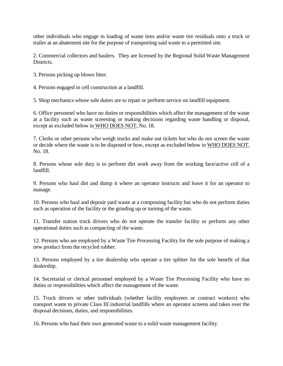other individuals who engage in loading of waste tires and/or waste tire residuals onto a truck or trailer at an abatement site for the purpose of transporting said waste to a permitted site.

2. Commercial collectors and haulers. They are licensed by the Regional Solid Waste Management Districts.

3. Persons picking up blown litter.

4. Persons engaged in cell construction at a landfill.

5. Shop mechanics whose sole duties are to repair or perform service on landfill equipment.

6. Office personnel who have no duties or responsibilities which affect the management of the waste at a facility such as waste screening or making decisions regarding waste handling or disposal, except as excluded below in WHO DOES NOT, No. 18.

7. Clerks or other persons who weigh trucks and make out tickets but who do not screen the waste or decide where the waste is to be disposed or how, except as excluded below in WHO DOES NOT, No. 18.

8. Persons whose sole duty is to perform dirt work away from the working face/active cell of a landfill.

9. Persons who haul dirt and dump it where an operator instructs and leave it for an operator to manage.

10. Persons who haul and deposit yard waste at a composting facility but who do not perform duties such as operation of the facility or the grinding up or turning of the waste.

11. Transfer station truck drivers who do not operate the transfer facility or perform any other operational duties such as compacting of the waste.

12. Persons who are employed by a Waste Tire Processing Facility for the sole purpose of making a new product from the recycled rubber.

13. Persons employed by a tire dealership who operate a tire splitter for the sole benefit of that dealership.

14. Secretarial or clerical personnel employed by a Waste Tire Processing Facility who have no duties or responsibilities which affect the management of the waste.

15. Truck drivers or other individuals (whether facility employees or contract workers) who transport waste to private Class III industrial landfills where an operator screens and takes over the disposal decisions, duties, and responsibilities.

16. Persons who haul their own generated waste to a solid waste management facility.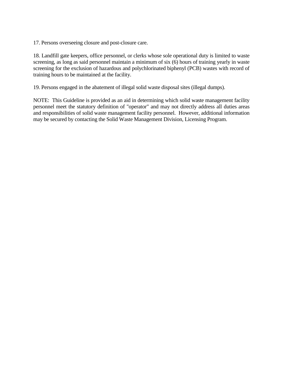17. Persons overseeing closure and post-closure care.

18. Landfill gate keepers, office personnel, or clerks whose sole operational duty is limited to waste screening, as long as said personnel maintain a minimum of six (6) hours of training yearly in waste screening for the exclusion of hazardous and polychlorinated biphenyl (PCB) wastes with record of training hours to be maintained at the facility.

19. Persons engaged in the abatement of illegal solid waste disposal sites (illegal dumps).

NOTE: This Guideline is provided as an aid in determining which solid waste management facility personnel meet the statutory definition of "operator" and may not directly address all duties areas and responsibilities of solid waste management facility personnel. However, additional information may be secured by contacting the Solid Waste Management Division, Licensing Program.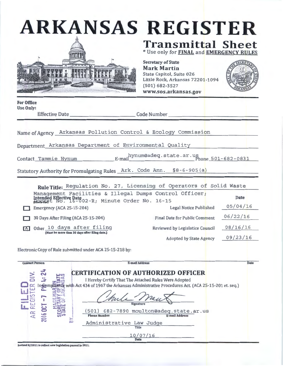| <b>ARKANSAS REGISTER</b> |                                                                      |
|--------------------------|----------------------------------------------------------------------|
|                          | <b>Transmittal Sheet</b><br>* Use only for FINAL and EMERGENCY RULES |



Secretary of State Mark Martin State Capitol, Suite 026 Little Rock, Arkansas 72201 -1094 (501) 682-3527 www.sos.arkansas.gov



For Office Use Only:

Effective Date \_\_\_\_\_ \_\_\_\_\_\_ Code Number---------------

Name of Agency Arkansas Pollution Control & Ecology Commission

Department Arkansas Department of Environmental Quality

Contact Tammie Hynum Mynum@adeq.state.ar.us Phone 501-682-0831

Statutory Authority for Promulgating Rules Ark. Code Ann. §8-6-905(a)

|   | Rule Title: Regulation No. 27, Licensing of Operators of Solid Waste                                                               |                                 |             |
|---|------------------------------------------------------------------------------------------------------------------------------------|---------------------------------|-------------|
|   | Management Facilities & Illegal Dumps Control Officer;<br>Intended Effective Date<br>Referred No. 16-002-R; Minute Order No. 16-15 |                                 | <b>Date</b> |
|   | Emergency (ACA 25-15-204)                                                                                                          | Legal Notice Published          | 05/04/16    |
|   | 30 Days After Filing (ACA 25-15-204)                                                                                               | Final Date for Public Comment   | 06/22/16    |
| X | Other 10 days after filing<br>(Must be more than 30 days after filing date.)                                                       | Reviewed by Legislatice Council | 08/16/16    |
|   |                                                                                                                                    | <b>Adopted by State Agency</b>  | 09/23/16    |

Electronic Copy of Rule submitted under ACA 25-15-218 by:

| <b>Contact Person</b>  | <b>E-mail Address</b>                                                                                                                                                                                                                                                                                                                                             | Date |
|------------------------|-------------------------------------------------------------------------------------------------------------------------------------------------------------------------------------------------------------------------------------------------------------------------------------------------------------------------------------------------------------------|------|
| $\mathfrak{F}$<br>2016 | <b>CERTIFICATION OF AUTHORIZED OFFICER</b><br>I Hereby Certify That The Attached Rules Were Adopted<br>with Act 434 of 1967 the Arkansas Administrative Procedures Act. (ACA 25-15-201 et. seq.)<br>Signature<br>(501) 682-7890 moulton@adeq.state.ar.us<br><b>Phone Number</b><br><b>E-mail Address</b><br>Administrative Law Judge<br>Title<br>10/07/16<br>Date |      |

Revised 8/2011 to reflect new legislation passed in 2011.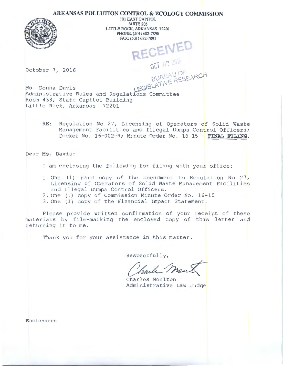#### **ARKANSAS POLLUTION CONTROL & ECOLOGY COMMISSION**



101 EAST CAPITOL SUITE<sub>205</sub> LITTLE ROCK, ARKANSAS 72201 PHONE: (501) 682-7890 FAX: (501) 682-7891 RECEIVED

October 7, 2016

Ms. Donna Davis  $I_{\text{EG}}\sim I_{\text{EG}}\sim I_{\text{EG}}\sim I$ Administrative Rules and Regulations Committee Room 433, State Capitol Building Little Rock, Arkansas 72201

> RE: Regulation No 27, Licensing of Operators of Solid Waste Management Facilities and Illegal Dumps Control Officers; Docket No. 16-002-R; Minute Order No. 16-15 - **FINAL FILING.**

 $BUR - PESEMP$ 

Dear Ms. Davis:

I am enclosing the following for filing with your office:

- 1. One (1) hard copy of the amendment to Regulation No  $27$ , Licensing of Operators of Solid Waste Management Facilities and Illegal Dumps Control Officers.
- 2. One (1) copy of Commission Minute Order No. 16-15
- 3. One (1) copy of the Financial Impact Statement.

Please provide written confirmation of your receipt of these materials by file-marking the enclosed copy of this letter and returning it to me.

Thank you for your assistance in this matter.

Respectfully,

Charle Men

Administrative Law Judge

Enclosures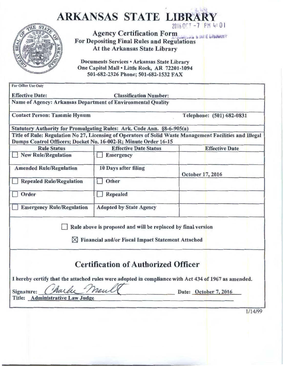| 2016 OCT -7 PM 4:01<br><b>Agency Certification Form</b><br>IN E UPLANTT<br><b>For Depositing Final Rules and Regulations</b><br>At the Arkansas State Library<br>Documents Services . Arkansas State Library<br>One Capitol Mall . Little Rock, AR 72201-1094<br>501-682-2326 Phone; 501-682-1532 FAX<br>For Office Use Only<br><b>Effective Date:</b><br><b>Classification Number:</b><br>Name of Agency: Arkansas Department of Environmental Quality<br><b>Contact Person: Tammie Hynum</b><br>Telephone: (501) 682-0831<br>Statutory Authority for Promulgating Rules: Ark. Code Ann. §8-6-905(a)<br>Title of Rule: Regulation No 27, Licensing of Operators of Solid Waste Management Facilities and Illegal<br>Dumps Control Officers; Docket No. 16-002-R; Minute Order 16-15<br><b>Rule Status</b><br><b>Effective Date Status</b><br><b>New Rule/Regulation</b><br><b>Emergency</b><br><b>Amended Rule/Regulation</b><br>10 Days after filing<br>October 17, 2016<br>Other<br><b>Repealed Rule/Regulation</b><br>Order<br><b>Repealed</b><br><b>Emergency Rule/Regulation</b><br><b>Adopted by State Agency</b> |                       |
|--------------------------------------------------------------------------------------------------------------------------------------------------------------------------------------------------------------------------------------------------------------------------------------------------------------------------------------------------------------------------------------------------------------------------------------------------------------------------------------------------------------------------------------------------------------------------------------------------------------------------------------------------------------------------------------------------------------------------------------------------------------------------------------------------------------------------------------------------------------------------------------------------------------------------------------------------------------------------------------------------------------------------------------------------------------------------------------------------------------------------|-----------------------|
|                                                                                                                                                                                                                                                                                                                                                                                                                                                                                                                                                                                                                                                                                                                                                                                                                                                                                                                                                                                                                                                                                                                          |                       |
|                                                                                                                                                                                                                                                                                                                                                                                                                                                                                                                                                                                                                                                                                                                                                                                                                                                                                                                                                                                                                                                                                                                          |                       |
|                                                                                                                                                                                                                                                                                                                                                                                                                                                                                                                                                                                                                                                                                                                                                                                                                                                                                                                                                                                                                                                                                                                          |                       |
|                                                                                                                                                                                                                                                                                                                                                                                                                                                                                                                                                                                                                                                                                                                                                                                                                                                                                                                                                                                                                                                                                                                          |                       |
|                                                                                                                                                                                                                                                                                                                                                                                                                                                                                                                                                                                                                                                                                                                                                                                                                                                                                                                                                                                                                                                                                                                          |                       |
|                                                                                                                                                                                                                                                                                                                                                                                                                                                                                                                                                                                                                                                                                                                                                                                                                                                                                                                                                                                                                                                                                                                          |                       |
|                                                                                                                                                                                                                                                                                                                                                                                                                                                                                                                                                                                                                                                                                                                                                                                                                                                                                                                                                                                                                                                                                                                          |                       |
|                                                                                                                                                                                                                                                                                                                                                                                                                                                                                                                                                                                                                                                                                                                                                                                                                                                                                                                                                                                                                                                                                                                          | <b>Effective Date</b> |
|                                                                                                                                                                                                                                                                                                                                                                                                                                                                                                                                                                                                                                                                                                                                                                                                                                                                                                                                                                                                                                                                                                                          |                       |
|                                                                                                                                                                                                                                                                                                                                                                                                                                                                                                                                                                                                                                                                                                                                                                                                                                                                                                                                                                                                                                                                                                                          |                       |
|                                                                                                                                                                                                                                                                                                                                                                                                                                                                                                                                                                                                                                                                                                                                                                                                                                                                                                                                                                                                                                                                                                                          |                       |
|                                                                                                                                                                                                                                                                                                                                                                                                                                                                                                                                                                                                                                                                                                                                                                                                                                                                                                                                                                                                                                                                                                                          |                       |
|                                                                                                                                                                                                                                                                                                                                                                                                                                                                                                                                                                                                                                                                                                                                                                                                                                                                                                                                                                                                                                                                                                                          |                       |
| Rule above is proposed and will be replaced by final version<br><b>Financial and/or Fiscal Impact Statement Attached</b>                                                                                                                                                                                                                                                                                                                                                                                                                                                                                                                                                                                                                                                                                                                                                                                                                                                                                                                                                                                                 |                       |
| <b>Certification of Authorized Officer</b>                                                                                                                                                                                                                                                                                                                                                                                                                                                                                                                                                                                                                                                                                                                                                                                                                                                                                                                                                                                                                                                                               |                       |
| I hereby certify that the attached rules were adopted in compliance with Act 434 of 1967 as amended.<br>meul<br>Signature:<br>Date: October 7, 2016<br>Title: Administrative Law Judge                                                                                                                                                                                                                                                                                                                                                                                                                                                                                                                                                                                                                                                                                                                                                                                                                                                                                                                                   |                       |
|                                                                                                                                                                                                                                                                                                                                                                                                                                                                                                                                                                                                                                                                                                                                                                                                                                                                                                                                                                                                                                                                                                                          |                       |